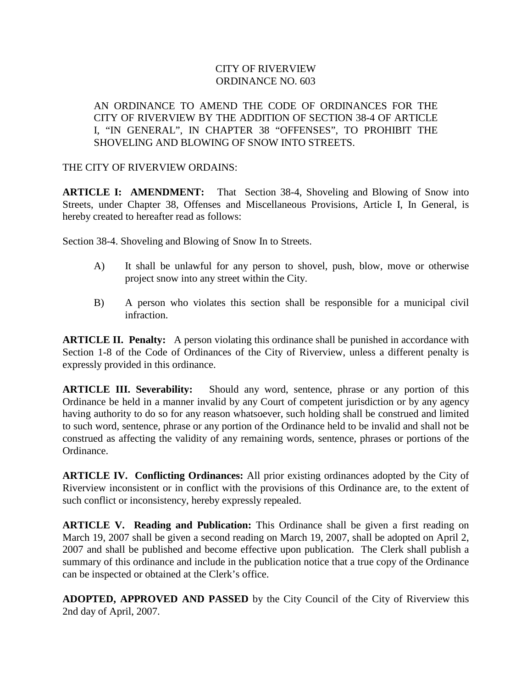## CITY OF RIVERVIEW ORDINANCE NO. 603

## AN ORDINANCE TO AMEND THE CODE OF ORDINANCES FOR THE CITY OF RIVERVIEW BY THE ADDITION OF SECTION 38-4 OF ARTICLE I, "IN GENERAL", IN CHAPTER 38 "OFFENSES", TO PROHIBIT THE SHOVELING AND BLOWING OF SNOW INTO STREETS.

## THE CITY OF RIVERVIEW ORDAINS:

**ARTICLE I: AMENDMENT:** That Section 38-4, Shoveling and Blowing of Snow into Streets, under Chapter 38, Offenses and Miscellaneous Provisions, Article I, In General, is hereby created to hereafter read as follows:

Section 38-4. Shoveling and Blowing of Snow In to Streets.

- A) It shall be unlawful for any person to shovel, push, blow, move or otherwise project snow into any street within the City.
- B) A person who violates this section shall be responsible for a municipal civil infraction.

**ARTICLE II. Penalty:** A person violating this ordinance shall be punished in accordance with Section 1-8 of the Code of Ordinances of the City of Riverview, unless a different penalty is expressly provided in this ordinance.

**ARTICLE III. Severability:** Should any word, sentence, phrase or any portion of this Ordinance be held in a manner invalid by any Court of competent jurisdiction or by any agency having authority to do so for any reason whatsoever, such holding shall be construed and limited to such word, sentence, phrase or any portion of the Ordinance held to be invalid and shall not be construed as affecting the validity of any remaining words, sentence, phrases or portions of the Ordinance.

**ARTICLE IV. Conflicting Ordinances:** All prior existing ordinances adopted by the City of Riverview inconsistent or in conflict with the provisions of this Ordinance are, to the extent of such conflict or inconsistency, hereby expressly repealed.

**ARTICLE V. Reading and Publication:** This Ordinance shall be given a first reading on March 19, 2007 shall be given a second reading on March 19, 2007, shall be adopted on April 2, 2007 and shall be published and become effective upon publication. The Clerk shall publish a summary of this ordinance and include in the publication notice that a true copy of the Ordinance can be inspected or obtained at the Clerk's office.

**ADOPTED, APPROVED AND PASSED** by the City Council of the City of Riverview this 2nd day of April, 2007.